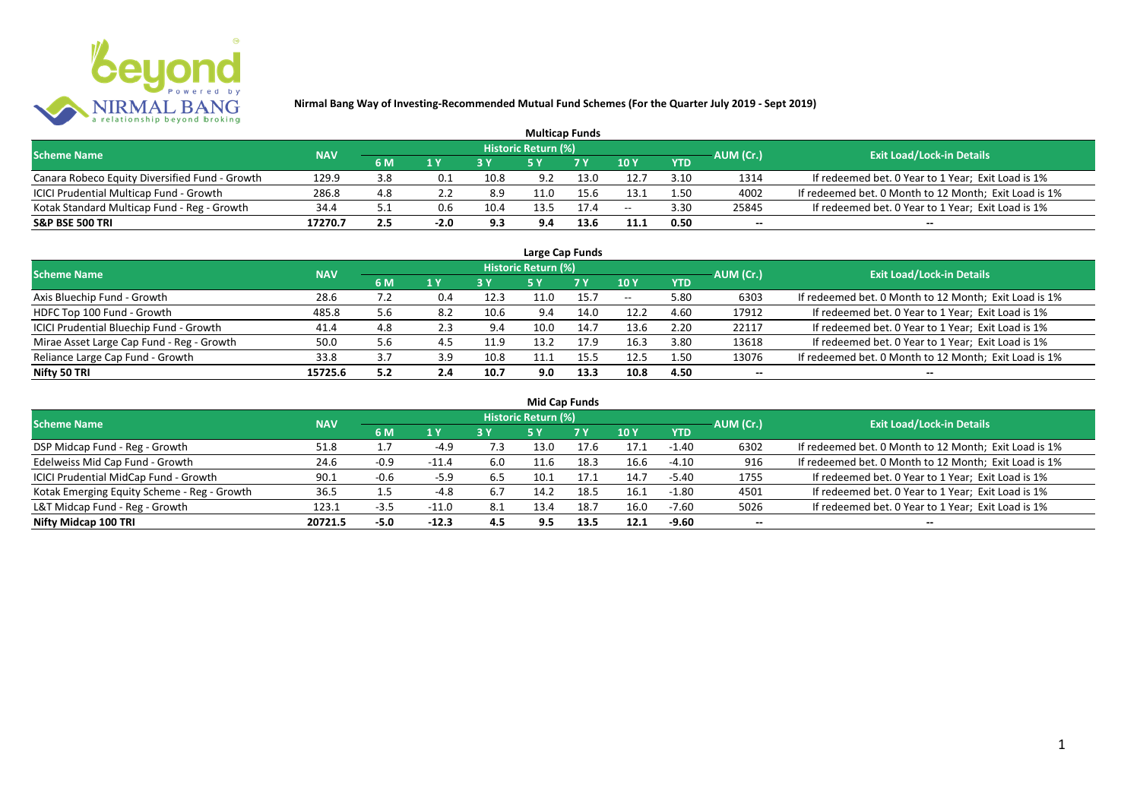

| <b>Multicap Funds</b>                          |            |     |           |      |                            |           |               |            |           |                                                       |  |  |  |
|------------------------------------------------|------------|-----|-----------|------|----------------------------|-----------|---------------|------------|-----------|-------------------------------------------------------|--|--|--|
| <b>Scheme Name</b>                             | <b>NAV</b> |     |           |      | <b>Historic Return (%)</b> |           |               |            | AUM (Cr.) | <b>Exit Load/Lock-in Details</b>                      |  |  |  |
|                                                |            | 6 M | 1 Y       |      |                            | <b>7Y</b> | $\sqrt{10}$ y | <b>YTD</b> |           |                                                       |  |  |  |
| Canara Robeco Equity Diversified Fund - Growth | 129.9      | 3.8 | $\rm 0.1$ | 10.8 | 9.2                        | 13.0      | 12.7          | 3.10       | 1314      | If redeemed bet. 0 Year to 1 Year; Exit Load is 1%    |  |  |  |
| ICICI Prudential Multicap Fund - Growth        | 286.8      | 4.8 |           | 8.9  |                            |           | 13.1          | 1.50       | 4002      | If redeemed bet. 0 Month to 12 Month; Exit Load is 1% |  |  |  |
| Kotak Standard Multicap Fund - Reg - Growth    | 34.4       | 5.1 | 0.6       | 10.4 | 13.5                       | 17.4      | $- -$         | 3.30       | 25845     | If redeemed bet. 0 Year to 1 Year; Exit Load is 1%    |  |  |  |
| <b>S&amp;P BSE 500 TRI</b>                     | 17270.7    | 2.5 | $-2.0$    | 9.3  | 9.4                        |           | 11.1          | 0.50       | $-$       | $- -$                                                 |  |  |  |

| Large Cap Funds                           |            |     |     |      |                            |      |       |            |           |                                                       |  |  |  |  |
|-------------------------------------------|------------|-----|-----|------|----------------------------|------|-------|------------|-----------|-------------------------------------------------------|--|--|--|--|
| <b>Scheme Name</b>                        | <b>NAV</b> |     |     |      | <b>Historic Return (%)</b> |      |       |            | AUM (Cr.) | <b>Exit Load/Lock-in Details</b>                      |  |  |  |  |
|                                           |            | 6 M | 1 Y |      | <b>5Y</b>                  | 7 Y  | 10Y   | <b>YTD</b> |           |                                                       |  |  |  |  |
| Axis Bluechip Fund - Growth               | 28.6       | 7.2 | 0.4 | 12.3 | 11.0                       | 15.7 | $- -$ | 5.80       | 6303      | If redeemed bet. 0 Month to 12 Month; Exit Load is 1% |  |  |  |  |
| HDFC Top 100 Fund - Growth                | 485.8      | 5.6 | 8.2 | 10.6 | 9.4                        | 14.0 | 12.2  | 4.60       | 17912     | If redeemed bet. 0 Year to 1 Year; Exit Load is 1%    |  |  |  |  |
| ICICI Prudential Bluechip Fund - Growth   | 41.4       | 4.8 | 2.3 | 9.4  | 10.0                       | 14.7 | 13.6  | 2.20       | 22117     | If redeemed bet. 0 Year to 1 Year; Exit Load is 1%    |  |  |  |  |
| Mirae Asset Large Cap Fund - Reg - Growth | 50.0       | 5.6 | 4.5 | 11.9 | 13.2                       | 17.9 | 16.3  | 3.80       | 13618     | If redeemed bet. 0 Year to 1 Year; Exit Load is 1%    |  |  |  |  |
| Reliance Large Cap Fund - Growth          | 33.8       | 3.7 | 3.9 | 10.8 | 11.1                       | 15.5 | 12.5  | 1.50       | 13076     | If redeemed bet. 0 Month to 12 Month; Exit Load is 1% |  |  |  |  |
| Nifty 50 TRI                              | 15725.6    | 5.2 | 2.4 | 10.7 | 9.0                        | 13.3 | 10.8  | 4.50       |           | --                                                    |  |  |  |  |

| <b>Mid Cap Funds</b>                        |            |        |         |     |                            |      |      |            |                          |                                                       |  |  |  |
|---------------------------------------------|------------|--------|---------|-----|----------------------------|------|------|------------|--------------------------|-------------------------------------------------------|--|--|--|
| <b>Scheme Name</b>                          | <b>NAV</b> |        |         |     | <b>Historic Return (%)</b> |      |      |            | AUM (Cr.)                | <b>Exit Load/Lock-in Details</b>                      |  |  |  |
|                                             |            | 6 M    | 1 Y     |     | 5 Y                        | 7 Y  | 10Y  | <b>YTD</b> |                          |                                                       |  |  |  |
| DSP Midcap Fund - Reg - Growth              | 51.8       | ⊥.,    | $-4.9$  | 7.3 | 13.0                       | 17.6 | 17.1 | $-1.40$    | 6302                     | If redeemed bet. 0 Month to 12 Month; Exit Load is 1% |  |  |  |
| Edelweiss Mid Cap Fund - Growth             | 24.6       | $-0.9$ | $-11.4$ | 6.0 | 11.6                       | 18.3 | 16.6 | -4.10      | 916                      | If redeemed bet. 0 Month to 12 Month; Exit Load is 1% |  |  |  |
| ICICI Prudential MidCap Fund - Growth       | 90.1       | $-0.6$ | $-5.9$  | 6.5 | 10.1                       | 17.1 | 14.7 | $-5.40$    | 1755                     | If redeemed bet. 0 Year to 1 Year; Exit Load is 1%    |  |  |  |
| Kotak Emerging Equity Scheme - Reg - Growth | 36.5       | 1.5    | $-4.8$  | 6.7 | 14.2                       | 18.5 | 16.1 | $-1.80$    | 4501                     | If redeemed bet. 0 Year to 1 Year; Exit Load is 1%    |  |  |  |
| L&T Midcap Fund - Reg - Growth              | 123.1      | $-3.5$ | $-11.0$ | 8.1 | 13.4                       | 18.7 | 16.0 | -7.60      | 5026                     | If redeemed bet. 0 Year to 1 Year; Exit Load is 1%    |  |  |  |
| Nifty Midcap 100 TRI                        | 20721.5    | $-5.0$ | $-12.3$ | 4.5 | 9.5                        | 13.5 | 12.1 | -9.60      | $\overline{\phantom{a}}$ | $- -$                                                 |  |  |  |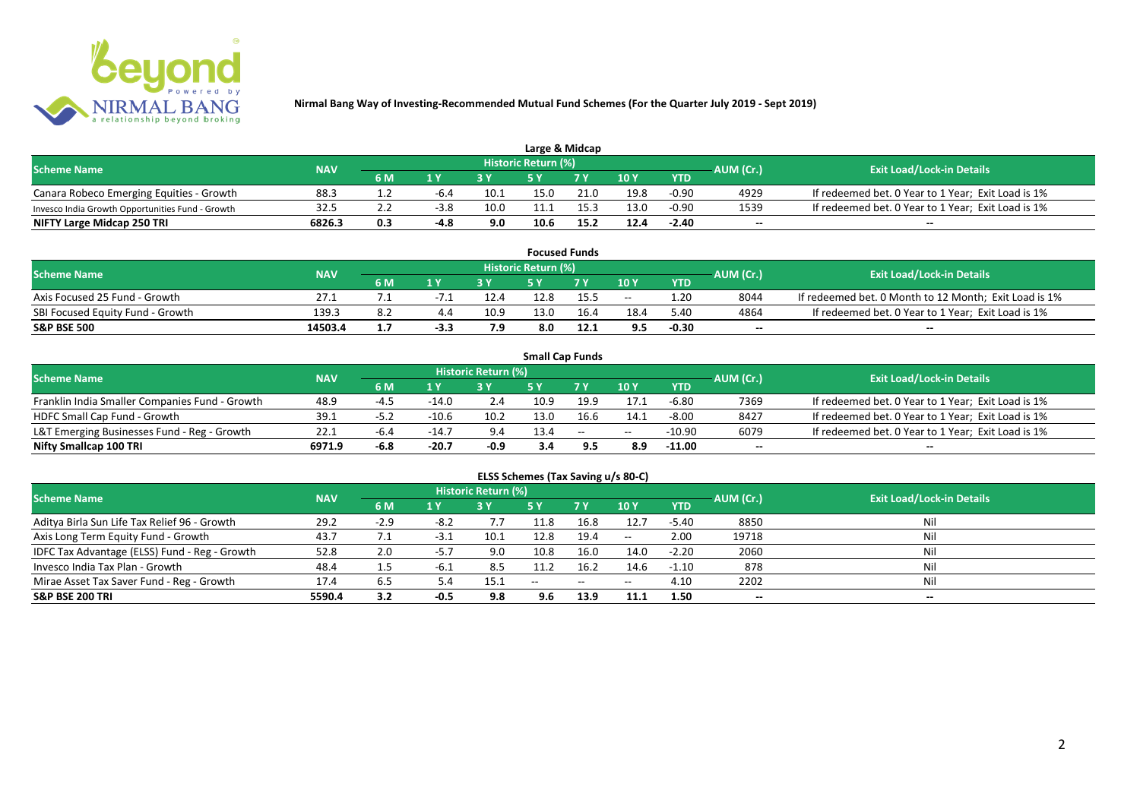

| Large & Midcap                                   |            |     |                         |      |                            |      |      |            |           |                                                    |  |  |  |
|--------------------------------------------------|------------|-----|-------------------------|------|----------------------------|------|------|------------|-----------|----------------------------------------------------|--|--|--|
| <b>Scheme Name</b>                               | <b>NAV</b> |     |                         |      | <b>Historic Return (%)</b> |      |      |            | AUM (Cr.) | <b>Exit Load/Lock-in Details</b>                   |  |  |  |
|                                                  |            | 6 M | $\mathbf{A} \mathbf{V}$ |      |                            | 7 V  | 10Y  | <b>YTD</b> |           |                                                    |  |  |  |
| Canara Robeco Emerging Equities - Growth         | 88.3       |     | -6.4                    | 10.1 | 15.0                       | 21.0 | 19.8 | $-0.90$    | 4929      | If redeemed bet. 0 Year to 1 Year; Exit Load is 1% |  |  |  |
| Invesco India Growth Opportunities Fund - Growth | 32.5       |     | $-3.8$                  | 10.0 | 11.1                       |      | 13.0 | $-0.90$    | 1539      | If redeemed bet. 0 Year to 1 Year; Exit Load is 1% |  |  |  |
| NIFTY Large Midcap 250 TRI                       | 6826.3     | 0.3 | $-4.8$                  | 9.0  | 10.6                       | 15.2 | 12.4 | $-2.40$    | $- -$     | $- -$                                              |  |  |  |

|                                  |            |     |        |      |                     | <b>Focused Funds</b> |       |            |           |                                                       |
|----------------------------------|------------|-----|--------|------|---------------------|----------------------|-------|------------|-----------|-------------------------------------------------------|
| <b>Scheme Name</b>               | <b>NAV</b> |     |        |      | Historic Return (%) |                      |       |            | AUM (Cr.) | <b>Exit Load/Lock-in Details</b>                      |
|                                  |            | 6 M | 1 V    |      | cν                  | 7 V                  | 10 Y  | <b>YTD</b> |           |                                                       |
| Axis Focused 25 Fund - Growth    | 27.1       |     | $-1.1$ | 12.4 | 12.8                | 15.5                 | $- -$ | 1.20       | 8044      | If redeemed bet. 0 Month to 12 Month; Exit Load is 1% |
| SBI Focused Equity Fund - Growth | 139.3      | 8.∠ |        | 10.9 | 13.0                | 16.4                 | 18.4  | 5.40       | 4864      | If redeemed bet. 0 Year to 1 Year; Exit Load is 1%    |
| <b>S&amp;P BSE 500</b>           | 14503.4    |     | -3.3   | 7.9  | 8.0                 | 12.1                 | 9.5   | $-0.30$    | $- -$     | $- -$                                                 |

|                                                |            |      |         |                     |      | <b>Small Cap Funds</b> |       |            |           |                                                    |
|------------------------------------------------|------------|------|---------|---------------------|------|------------------------|-------|------------|-----------|----------------------------------------------------|
| <b>Scheme Name</b>                             | <b>NAV</b> |      |         | Historic Return (%) |      |                        |       |            | AUM (Cr.) | <b>Exit Load/Lock-in Details</b>                   |
|                                                |            | 6 M  | 1 Y     |                     |      | 7 V                    | 10Y   | <b>YTD</b> |           |                                                    |
| Franklin India Smaller Companies Fund - Growth | 48.9       | -4.5 | $-14.0$ | 2.4                 | 10.9 | 19.9                   | 17.1  | $-6.80$    | 7369      | If redeemed bet. 0 Year to 1 Year; Exit Load is 1% |
| HDFC Small Cap Fund - Growth                   | 39.1       | -5.2 | $-10.6$ | 10.2                | 13.0 | 16.6                   | ن.14  | $-8.00$    | 8427      | If redeemed bet. 0 Year to 1 Year; Exit Load is 1% |
| L&T Emerging Businesses Fund - Reg - Growth    | 22.1       | -6.4 | $-14.$  | 9.4                 | 13.4 | $\sim$                 | $- -$ | $-10.90$   | 6079      | If redeemed bet. 0 Year to 1 Year; Exit Load is 1% |
| Nifty Smallcap 100 TRI                         | 6971.9     | -6.8 | $-20.7$ | -0.9                | 3.4  | 9.5                    | 8.9   | $-11.00$   | $- -$     | $\overline{\phantom{a}}$                           |

# **ELSS Schemes (Tax Saving u/s 80-C)**

| <b>Scheme Name</b>                            | <b>NAV</b> |        |        | <b>Historic Return (%)</b> |       |      |         |            | AUM (Cr.)                | <b>Exit Load/Lock-in Details</b> |
|-----------------------------------------------|------------|--------|--------|----------------------------|-------|------|---------|------------|--------------------------|----------------------------------|
|                                               |            | 6 M    | 1 Y    |                            | 5 Y   | 7Y   | 10Y     | <b>YTD</b> |                          |                                  |
| Aditya Birla Sun Life Tax Relief 96 - Growth  | 29.2       | $-2.9$ | -8.2   |                            | 11.8  | 16.8 | 12.7    | $-5.40$    | 8850                     | Nil                              |
| Axis Long Term Equity Fund - Growth           | 43.7       |        | -3.1   | 10.1                       | 12.8  | 19.4 | $-  \,$ | 2.00       | 19718                    |                                  |
| IDFC Tax Advantage (ELSS) Fund - Reg - Growth | 52.8       | 2.0    | -5.7   | 9.0                        | 10.8  | 16.0 | 14.0    | $-2.20$    | 2060                     |                                  |
| Invesco India Tax Plan - Growth               | 48.4       | 1.5    | -6.1   | 8.5                        | 11.2  | 16.2 | 14.6    | $-1.10$    | 878                      | Ni                               |
| Mirae Asset Tax Saver Fund - Reg - Growth     | 17.4       | 6.5    | 5.4    | 15.1                       | $- -$ | --   | $- -$   | 4.10       | 2202                     |                                  |
| <b>S&amp;P BSE 200 TRI</b>                    | 5590.4     | 3.2    | $-0.5$ | 9.8                        | 9.6   | 13.9 | 11.1    | 1.50       | $\overline{\phantom{a}}$ | $\overline{\phantom{a}}$         |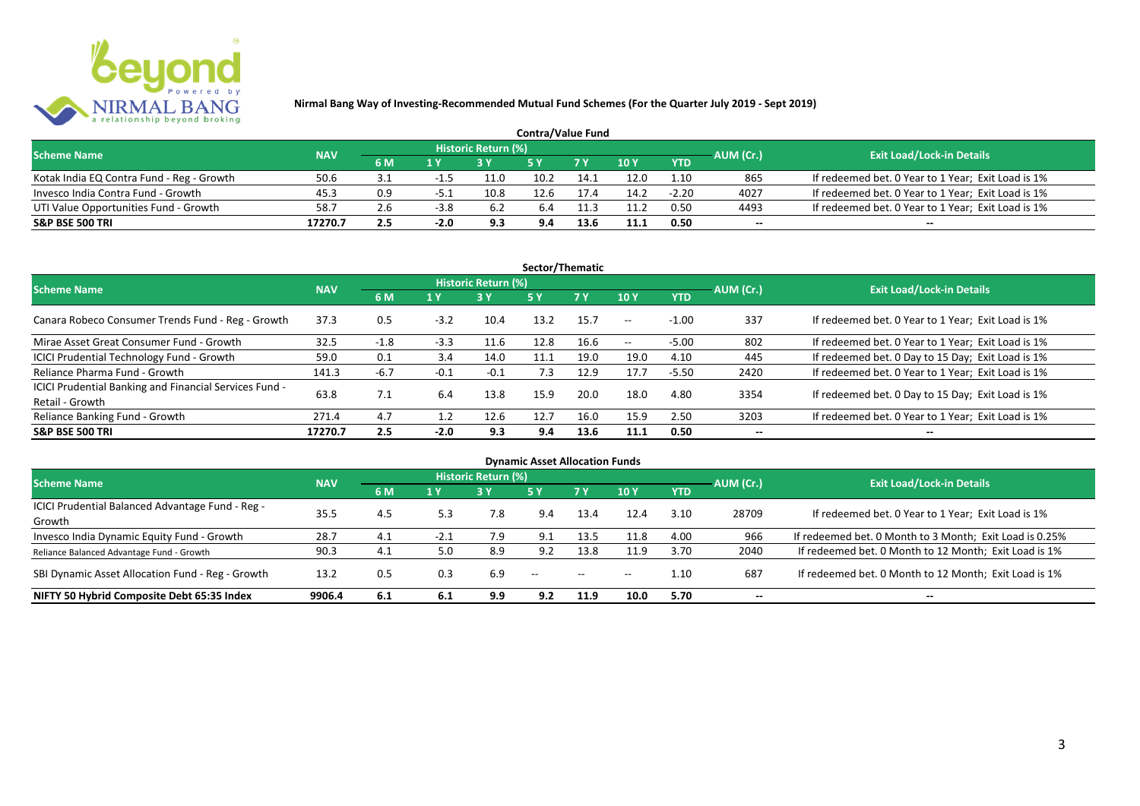

| <b>Contra/Value Fund</b>                  |            |     |        |                     |      |      |               |            |           |                                                    |  |  |  |
|-------------------------------------------|------------|-----|--------|---------------------|------|------|---------------|------------|-----------|----------------------------------------------------|--|--|--|
| <b>Scheme Name</b>                        | <b>NAV</b> |     |        | Historic Return (%) |      |      |               |            | AUM (Cr.) | <b>Exit Load/Lock-in Details</b>                   |  |  |  |
|                                           |            | 6 M | 1 Y    |                     |      |      | $\sqrt{10}$ Y | <b>YTD</b> |           |                                                    |  |  |  |
| Kotak India EQ Contra Fund - Reg - Growth | 50.6       | 3.1 |        | 11.C                | 10.2 | 14.1 | 12.0          | 1.10       | 865       | If redeemed bet. 0 Year to 1 Year; Exit Load is 1% |  |  |  |
| Invesco India Contra Fund - Growth        | 45.3       | 0.9 | -5.1   | 10.8                | 12.6 |      | 14.2          | $-2.20$    | 4027      | If redeemed bet. 0 Year to 1 Year; Exit Load is 1% |  |  |  |
| UTI Value Opportunities Fund - Growth     | 58.7       | 2.6 | $-3.8$ | 6.2                 | 6.4  | 11.3 | 11.2          | 0.50       | 4493      | If redeemed bet. 0 Year to 1 Year; Exit Load is 1% |  |  |  |
| <b>S&amp;P BSE 500 TRI</b>                | 17270.7    | 2.5 | $-2.0$ | 9.3                 | 9.4  |      | 11.1          | 0.50       | --        | $- -$                                              |  |  |  |

| Sector/Thematic                                                           |            |        |        |                            |            |           |            |            |           |                                                    |  |  |  |
|---------------------------------------------------------------------------|------------|--------|--------|----------------------------|------------|-----------|------------|------------|-----------|----------------------------------------------------|--|--|--|
| <b>Scheme Name</b>                                                        | <b>NAV</b> |        |        | <b>Historic Return (%)</b> |            |           |            |            | AUM (Cr.) | <b>Exit Load/Lock-in Details</b>                   |  |  |  |
|                                                                           |            | 6 M    | 1 Y    | <b>3Y</b>                  | <b>5 Y</b> | <b>7Y</b> | 10Y        | <b>YTD</b> |           |                                                    |  |  |  |
| Canara Robeco Consumer Trends Fund - Reg - Growth                         | 37.3       | 0.5    | $-3.2$ | 10.4                       | 13.2       | 15.7      | $\sim$ $-$ | $-1.00$    | 337       | If redeemed bet. 0 Year to 1 Year; Exit Load is 1% |  |  |  |
| Mirae Asset Great Consumer Fund - Growth                                  | 32.5       | $-1.8$ | $-3.3$ | 11.6                       | 12.8       | 16.6      | $\sim$ $-$ | $-5.00$    | 802       | If redeemed bet. 0 Year to 1 Year; Exit Load is 1% |  |  |  |
| <b>ICICI Prudential Technology Fund - Growth</b>                          | 59.0       | 0.1    | 3.4    | 14.0                       | 11.1       | 19.0      | 19.0       | 4.10       | 445       | If redeemed bet. 0 Day to 15 Day; Exit Load is 1%  |  |  |  |
| Reliance Pharma Fund - Growth                                             | 141.3      | $-6.7$ | $-0.1$ | $-0.1$                     | 7.3        | 12.9      | 17.7       | $-5.50$    | 2420      | If redeemed bet. 0 Year to 1 Year; Exit Load is 1% |  |  |  |
| ICICI Prudential Banking and Financial Services Fund -<br>Retail - Growth | 63.8       | 7.1    | 6.4    | 13.8                       | 15.9       | 20.0      | 18.0       | 4.80       | 3354      | If redeemed bet. 0 Day to 15 Day; Exit Load is 1%  |  |  |  |
| Reliance Banking Fund - Growth                                            | 271.4      | 4.7    | 1.2    | 12.6                       | 12.7       | 16.0      | 15.9       | 2.50       | 3203      | If redeemed bet. 0 Year to 1 Year; Exit Load is 1% |  |  |  |
| <b>S&amp;P BSE 500 TRI</b>                                                | 17270.7    | 2.5    | $-2.0$ | 9.3                        | 9.4        | 13.6      | 11.1       | 0.50       |           | --                                                 |  |  |  |

| <b>Dynamic Asset Allocation Funds</b>            |            |     |        |                            |               |               |       |            |                          |                                                         |  |  |  |
|--------------------------------------------------|------------|-----|--------|----------------------------|---------------|---------------|-------|------------|--------------------------|---------------------------------------------------------|--|--|--|
| <b>Scheme Name</b>                               | <b>NAV</b> |     |        | <b>Historic Return (%)</b> |               |               |       |            | AUM (Cr.)                | <b>Exit Load/Lock-in Details</b>                        |  |  |  |
|                                                  |            | 6 M | 1 Y    | 3 Y                        | 5 Y           | <b>7Y</b>     | 10Y   | <b>YTD</b> |                          |                                                         |  |  |  |
| ICICI Prudential Balanced Advantage Fund - Reg - | 35.5       | 4.5 |        | 7.8                        |               | 13.4          | 12.4  | 3.10       | 28709                    | If redeemed bet. 0 Year to 1 Year; Exit Load is 1%      |  |  |  |
| Growth                                           |            |     | 5.3    |                            | 9.4           |               |       |            |                          |                                                         |  |  |  |
| Invesco India Dynamic Equity Fund - Growth       | 28.7       | 4.1 | $-2.1$ | 7.9                        | 9.1           | 13.5          | 11.8  | 4.00       | 966                      | If redeemed bet. 0 Month to 3 Month; Exit Load is 0.25% |  |  |  |
| Reliance Balanced Advantage Fund - Growth        | 90.3       | 4.1 | 5.0    | 8.9                        | 9.2           | 13.8          | 11.9  | 3.70       | 2040                     | If redeemed bet. 0 Month to 12 Month; Exit Load is 1%   |  |  |  |
| SBI Dynamic Asset Allocation Fund - Reg - Growth | 13.2       | 0.5 | 0.3    | 6.9                        | $\sim$ $\sim$ | $\sim$ $\sim$ | $- -$ | 1.10       | 687                      | If redeemed bet. 0 Month to 12 Month; Exit Load is 1%   |  |  |  |
| NIFTY 50 Hybrid Composite Debt 65:35 Index       | 9906.4     | 6.1 | 6.1    | 9.9                        | 9.2           | 11.9          | 10.0  | 5.70       | $\overline{\phantom{a}}$ | $- -$                                                   |  |  |  |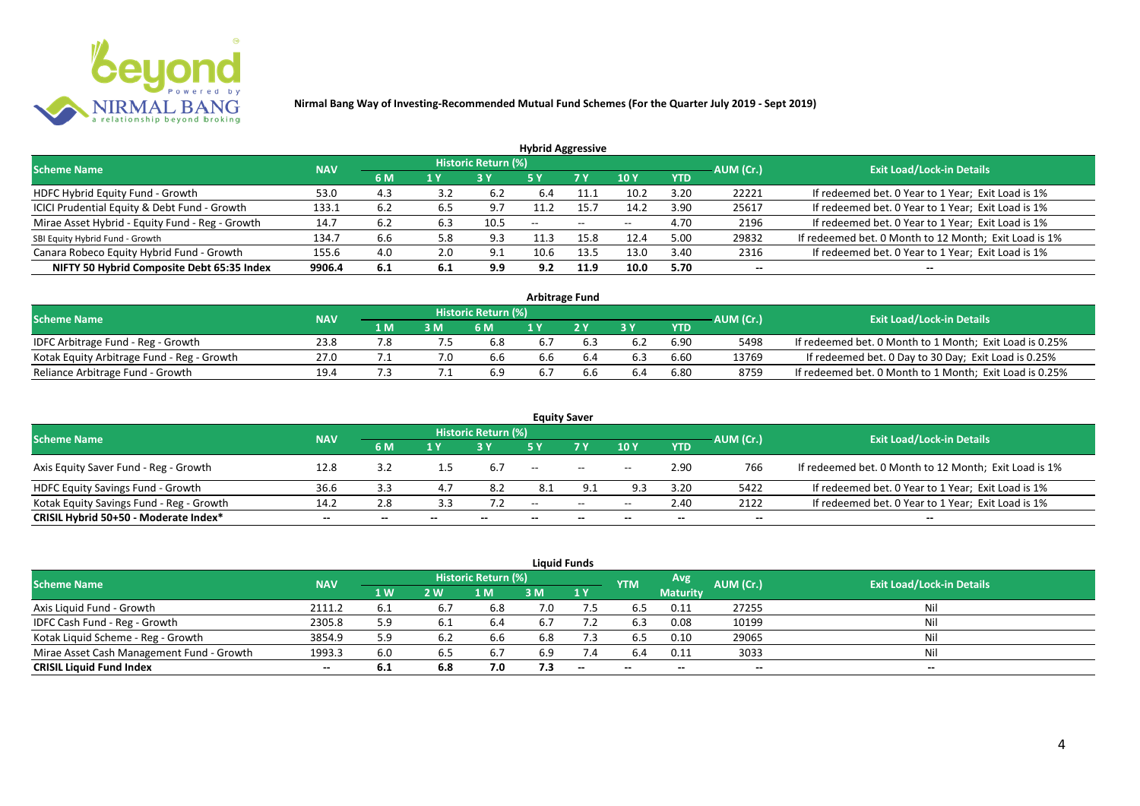

| <b>Hybrid Aggressive</b>                        |            |     |                         |                     |       |                          |       |            |           |                                                       |  |  |  |
|-------------------------------------------------|------------|-----|-------------------------|---------------------|-------|--------------------------|-------|------------|-----------|-------------------------------------------------------|--|--|--|
| <b>Scheme Name</b>                              | <b>NAV</b> |     |                         | Historic Return (%) |       |                          |       |            | AUM (Cr.) | <b>Exit Load/Lock-in Details</b>                      |  |  |  |
|                                                 |            | 6 M | $\mathbf{A} \mathbf{V}$ |                     | '5 Y  | 7 Y                      | 10Y   | <b>YTD</b> |           |                                                       |  |  |  |
| HDFC Hybrid Equity Fund - Growth                | 53.0       | 4.3 | 3.2                     | - 6.2               | 6.4   |                          | 10.2  | 3.20       | 22221     | If redeemed bet. 0 Year to 1 Year; Exit Load is 1%    |  |  |  |
| ICICI Prudential Equity & Debt Fund - Growth    | 133.1      | 6.2 | 6.5                     | 9.7                 | 11.2  | 15.7                     | 14.2  | 3.90       | 25617     | If redeemed bet. 0 Year to 1 Year; Exit Load is 1%    |  |  |  |
| Mirae Asset Hybrid - Equity Fund - Reg - Growth | 14.7       | 6.2 | 6.3                     | 10.5                | $- -$ | $\overline{\phantom{m}}$ | $- -$ | 4.70       | 2196      | If redeemed bet. 0 Year to 1 Year; Exit Load is 1%    |  |  |  |
| SBI Equity Hybrid Fund - Growth                 | 134.7      | b.b | 5.8                     | 9.3                 | 11.3  |                          | 12.4  | 5.00       | 29832     | If redeemed bet. 0 Month to 12 Month; Exit Load is 1% |  |  |  |
| Canara Robeco Equity Hybrid Fund - Growth       | 155.6      | 4.0 | 2.0                     | 9.1                 | 10.6  | 13.5                     | 13.0  | 3.40       | 2316      | If redeemed bet. 0 Year to 1 Year; Exit Load is 1%    |  |  |  |
| NIFTY 50 Hybrid Composite Debt 65:35 Index      | 9906.4     | 6.1 | -6.1                    | 9.9                 | 9.2   | 11.9                     | 10.0  | 5.70       | $- -$     | $- -$                                                 |  |  |  |

| <b>Arbitrage Fund</b>                      |            |     |     |                            |     |  |     |      |           |                                                         |  |  |  |
|--------------------------------------------|------------|-----|-----|----------------------------|-----|--|-----|------|-----------|---------------------------------------------------------|--|--|--|
| <b>Scheme Name</b>                         | <b>NAV</b> |     |     | <b>Historic Return (%)</b> |     |  |     |      | AUM (Cr.) | <b>Exit Load/Lock-in Details</b>                        |  |  |  |
|                                            |            | 1 M | 3 M | 6 M                        |     |  | 2 V | YTD  |           |                                                         |  |  |  |
| IDFC Arbitrage Fund - Reg - Growth         | 23.8       |     |     | 6.8                        | 6.7 |  |     | 6.90 | 5498      | If redeemed bet. 0 Month to 1 Month; Exit Load is 0.25% |  |  |  |
| Kotak Equity Arbitrage Fund - Reg - Growth | 27.0       |     |     | 6.6                        | 6.6 |  |     | 6.60 | 13769     | If redeemed bet. 0 Day to 30 Day; Exit Load is 0.25%    |  |  |  |
| Reliance Arbitrage Fund - Growth           | 19.4       |     |     | 6.9                        | 6.7 |  | 6.4 | 6.80 | 8759      | If redeemed bet. 0 Month to 1 Month; Exit Load is 0.25% |  |  |  |

|                                          |            |           |       |                     |       | <b>Equity Saver</b> |       |            |                          |                                                       |
|------------------------------------------|------------|-----------|-------|---------------------|-------|---------------------|-------|------------|--------------------------|-------------------------------------------------------|
| <b>Scheme Name</b>                       | <b>NAV</b> |           |       | Historic Return (%) |       |                     |       |            | AUM (Cr.)                | <b>Exit Load/Lock-in Details</b>                      |
|                                          |            | <b>6M</b> | 1 V   |                     |       | 7 <sub>V</sub>      | 10Y   | <b>YTD</b> |                          |                                                       |
| Axis Equity Saver Fund - Reg - Growth    | 12.8       | 3.2       |       | 6.7                 | $- -$ | $- -$               | $- -$ | 2.90       | 766                      | If redeemed bet. 0 Month to 12 Month; Exit Load is 1% |
| HDFC Equity Savings Fund - Growth        | 36.6       |           |       | -8.2                | 8.1   | ∩ ^                 | 9.3   | 3.20       | 5422                     | If redeemed bet. 0 Year to 1 Year; Exit Load is 1%    |
| Kotak Equity Savings Fund - Reg - Growth | 14.2       | 2.8       | 3.3   |                     | $- -$ | $\sim$              | $- -$ | 2.40       | 2122                     | If redeemed bet. 0 Year to 1 Year; Exit Load is 1%    |
| CRISIL Hybrid 50+50 - Moderate Index*    | $- -$      |           | $- -$ |                     | $- -$ | --                  |       | --         | $\overline{\phantom{a}}$ | $- -$                                                 |

|                                           |            |           |            |      |           | <b>Liquid Funds</b>              |       |                 |       |       |
|-------------------------------------------|------------|-----------|------------|------|-----------|----------------------------------|-------|-----------------|-------|-------|
| <b>Scheme Name</b>                        | <b>NAV</b> |           | <b>YTM</b> | Avg  | AUM (Cr.) | <b>Exit Load/Lock-in Details</b> |       |                 |       |       |
|                                           |            | <b>1W</b> | 2 W        | M    | 3 M       | 1Y                               |       | <b>Maturity</b> |       |       |
| Axis Liquid Fund - Growth                 | 2111.2     | 6.1       |            | 6.8  | 7.0       | 7.5                              | 6.5   | 0.11            | 27255 | Nil   |
| IDFC Cash Fund - Reg - Growth             | 2305.8     | 5.9       |            | -6.4 | 6.7       |                                  | 6.3   | 0.08            | 10199 | Nil   |
| Kotak Liquid Scheme - Reg - Growth        | 3854.9     | 5.9       | 6.2        | 6.6  | 6.8       | 7.3                              | 6.5   | 0.10            | 29065 | Nil   |
| Mirae Asset Cash Management Fund - Growth | 1993.3     | 6.0       | 6.5        | 6.7  | 6.9       | 7.4                              | 6.4   | 0.11            | 3033  | Nil   |
| <b>CRISIL Liquid Fund Index</b>           | $- -$      | 6.1       | 6.8        | 7.0  | 7.3       | $-$                              | $- -$ | $- -$           | $- -$ | $- -$ |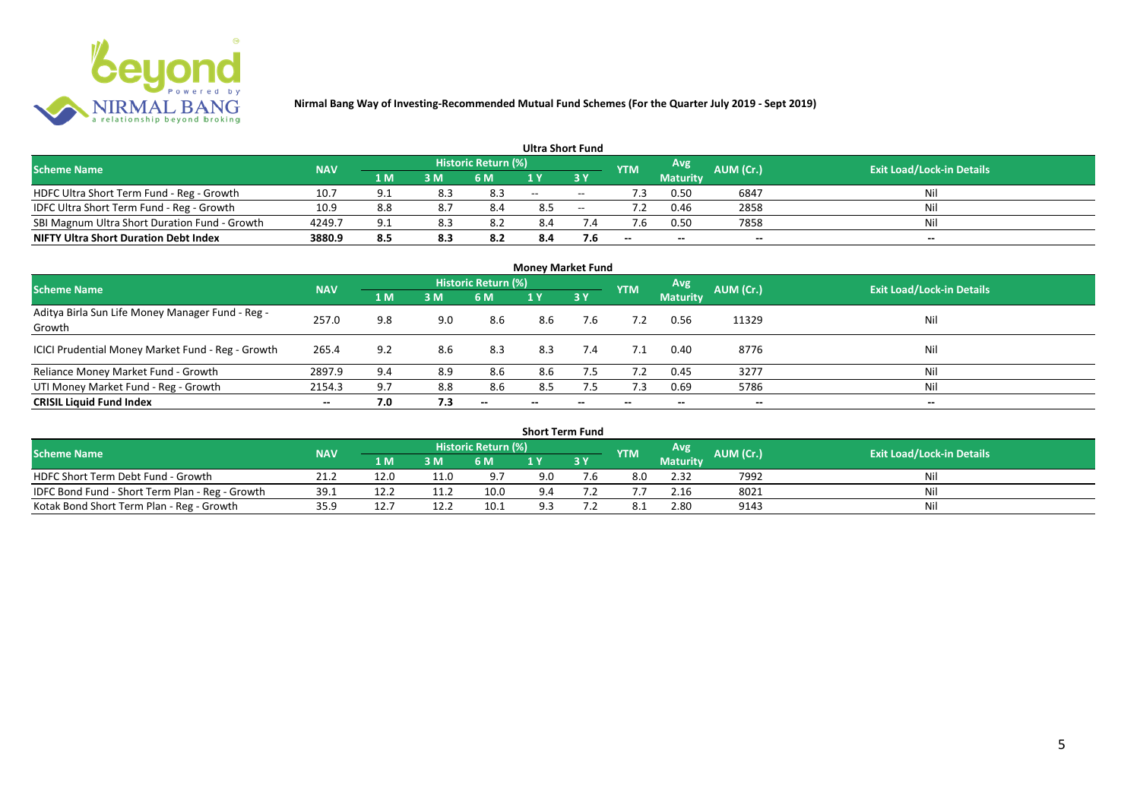

|                                               |            |     |     |                            | <b>Ultra Short Fund</b> |        |            |                 |           |                                  |
|-----------------------------------------------|------------|-----|-----|----------------------------|-------------------------|--------|------------|-----------------|-----------|----------------------------------|
| <b>Scheme Name</b>                            | <b>NAV</b> |     |     | <b>Historic Return (%)</b> |                         |        | <b>YTM</b> | Avg             | AUM (Cr.) | <b>Exit Load/Lock-in Details</b> |
|                                               |            | 1 M | 3 M | 6 M                        | 1 Y                     |        |            | <b>Maturity</b> |           |                                  |
| HDFC Ultra Short Term Fund - Reg - Growth     | 10.7       | q.  | 8.3 | 8.3                        | $\sim$ $\sim$           | $\sim$ | ٠3         | 0.50            | 6847      | Nil                              |
| IDFC Ultra Short Term Fund - Reg - Growth     | 10.9       | 8.8 |     | 8.4                        | 8.5                     | $\sim$ |            | 0.46            | 2858      | Nil                              |
| SBI Magnum Ultra Short Duration Fund - Growth | 4249.7     | 9.1 | 8.3 |                            | 8.4                     |        |            | 0.50            | 7858      | Nil                              |
| <b>NIFTY Ultra Short Duration Debt Index</b>  | 3880.9     | 8.5 | 8.3 | 8.2                        | 8.4                     | 7.6    | $- -$      | $- -$           | $- -$     | $- -$                            |

| <b>Money Market Fund</b>                                   |            |     |     |                     |                          |     |            |                 |           |                                  |  |  |  |  |
|------------------------------------------------------------|------------|-----|-----|---------------------|--------------------------|-----|------------|-----------------|-----------|----------------------------------|--|--|--|--|
| <b>Scheme Name</b>                                         | <b>NAV</b> |     |     | Historic Return (%) |                          |     | <b>YTM</b> | Avg             | AUM (Cr.) | <b>Exit Load/Lock-in Details</b> |  |  |  |  |
|                                                            |            | 1 M | 3M  | 6 M                 | 1Y                       | 3 Y |            | <b>Maturity</b> |           |                                  |  |  |  |  |
| Aditya Birla Sun Life Money Manager Fund - Reg -<br>Growth | 257.0      | 9.8 | 9.0 | 8.6                 | 8.6                      | 7.6 |            | 0.56            | 11329     | Nil                              |  |  |  |  |
| ICICI Prudential Money Market Fund - Reg - Growth          | 265.4      | 9.2 | 8.6 | 8.3                 | 8.3                      | 7.4 | 7.1        | 0.40            | 8776      | Nil                              |  |  |  |  |
| Reliance Money Market Fund - Growth                        | 2897.9     | 9.4 | 8.9 | 8.6                 | 8.6                      | 7.5 | 7.2        | 0.45            | 3277      | Nil                              |  |  |  |  |
| UTI Money Market Fund - Reg - Growth                       | 2154.3     | 9.7 | 8.8 | 8.6                 | 8.5                      | 7.5 | 7.3        | 0.69            | 5786      | Nil                              |  |  |  |  |
| <b>CRISIL Liquid Fund Index</b>                            | $- -$      | 7.0 | 7.3 | $- -$               | $\overline{\phantom{a}}$ | --  | $- -$      | $- -$           | $- -$     | $- -$                            |  |  |  |  |

| <b>Short Term Fund</b>                          |            |      |      |                            |     |    |            |                 |           |                                  |  |  |  |  |
|-------------------------------------------------|------------|------|------|----------------------------|-----|----|------------|-----------------|-----------|----------------------------------|--|--|--|--|
| <b>Scheme Name</b>                              | <b>NAV</b> |      |      | <b>Historic Return (%)</b> |     |    | <b>YTM</b> | Avg             | AUM (Cr.) | <b>Exit Load/Lock-in Details</b> |  |  |  |  |
|                                                 |            | 1 M  | 3 M  | 6 M                        |     | 3Y |            | <b>Maturity</b> |           |                                  |  |  |  |  |
| HDFC Short Term Debt Fund - Growth              | 21.2       | 12.0 | 11.0 | 9.7                        | 9.0 |    | 8.0        | 2.32            | 7992      | Nil                              |  |  |  |  |
| IDFC Bond Fund - Short Term Plan - Reg - Growth | 39.1       | 12.2 |      | 10.0                       | 9.4 |    |            | 2.16            | 8021      | Nil                              |  |  |  |  |
| Kotak Bond Short Term Plan - Reg - Growth       | 35.9       | 12.7 |      | 10.1                       | 9.3 |    |            | 2.80            | 9143      | Nil                              |  |  |  |  |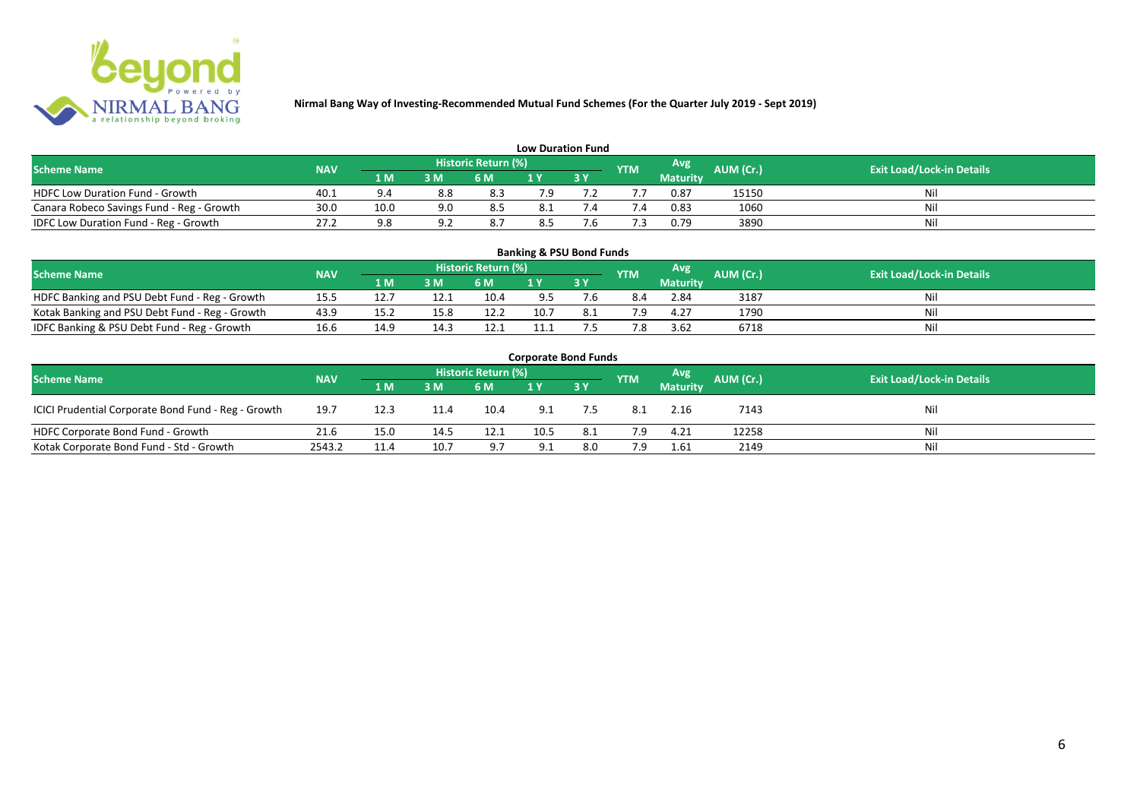

| <b>Low Duration Fund</b>                  |            |      |      |                            |     |  |            |          |           |                                  |  |  |  |  |
|-------------------------------------------|------------|------|------|----------------------------|-----|--|------------|----------|-----------|----------------------------------|--|--|--|--|
| <b>Scheme Name</b>                        | <b>NAV</b> |      |      | <b>Historic Return (%)</b> |     |  | <b>YTM</b> | Avg      | AUM (Cr.) | <b>Exit Load/Lock-in Details</b> |  |  |  |  |
|                                           |            | 1 M  | 3 M  | 6 M                        | 1 Y |  |            | Maturity |           |                                  |  |  |  |  |
| <b>HDFC Low Duration Fund - Growth</b>    | 40.1       | 9.4  | 8.8  | 8.3                        | 7.9 |  |            | 0.87     | 15150     | Nil                              |  |  |  |  |
| Canara Robeco Savings Fund - Reg - Growth | 30.0       | 10.0 | 9.0  | 8.5                        | 8.1 |  | '.4        | 0.83     | 1060      | Nil                              |  |  |  |  |
| IDFC Low Duration Fund - Reg - Growth     | 27.2       |      | ົດ - | 8.7                        | 8.5 |  |            | 0.79     | 3890      | Nil                              |  |  |  |  |

| <b>Banking &amp; PSU Bond Funds</b>                                                                                                                |      |      |      |      |      |     |     |                 |      |    |  |  |  |  |
|----------------------------------------------------------------------------------------------------------------------------------------------------|------|------|------|------|------|-----|-----|-----------------|------|----|--|--|--|--|
| <b>Historic Return (%)</b><br><b>Avg</b><br><b>AUM (Cr.)</b><br><b>Exit Load/Lock-in Details</b><br><b>Scheme Name</b><br><b>NAV</b><br><b>YTM</b> |      |      |      |      |      |     |     |                 |      |    |  |  |  |  |
|                                                                                                                                                    |      | 1 M  | 3 M  | 6 M  |      | 3 Y |     | <b>Maturity</b> |      |    |  |  |  |  |
| HDFC Banking and PSU Debt Fund - Reg - Growth                                                                                                      | 15.5 |      | 12.1 | 10.4 | 9.5  |     |     | 2.84            | 3187 | Ni |  |  |  |  |
| Kotak Banking and PSU Debt Fund - Reg - Growth                                                                                                     | 43.9 |      | 15.8 | 12.2 | 10.7 |     | 7.9 | 4.27            | 1790 |    |  |  |  |  |
| IDFC Banking & PSU Debt Fund - Reg - Growth                                                                                                        | 16.6 | 14.9 | 14.3 | 12.1 |      |     | 7.8 | 3.62            | 6718 | Ni |  |  |  |  |

| <b>Corporate Bond Funds</b>                         |                                  |      |      |      |      |           |            |                 |           |     |  |  |  |  |
|-----------------------------------------------------|----------------------------------|------|------|------|------|-----------|------------|-----------------|-----------|-----|--|--|--|--|
| <b>Scheme Name</b>                                  | <b>Exit Load/Lock-in Details</b> |      |      |      |      |           |            |                 |           |     |  |  |  |  |
|                                                     | <b>NAV</b>                       | 1 M  | 3 M  | 6 M  |      | <b>3Y</b> | <b>YTM</b> | <b>Maturity</b> | AUM (Cr.) |     |  |  |  |  |
| ICICI Prudential Corporate Bond Fund - Reg - Growth | 19.7                             | 12.3 | 11.4 | 10.4 | 9.1  | 7.5       | 8.1        | 2.16            | 7143      | Nil |  |  |  |  |
| HDFC Corporate Bond Fund - Growth                   | 21.6                             | 15.0 | 14.5 | 12.1 | 10.5 | 8.1       | 7.9        | 4.21            | 12258     | Nil |  |  |  |  |
| Kotak Corporate Bond Fund - Std - Growth            | 2543.2                           | 11.4 | 10.7 | 9.7  | 9.1  | 8.0       | 7.9        | 1.61            | 2149      | Nil |  |  |  |  |